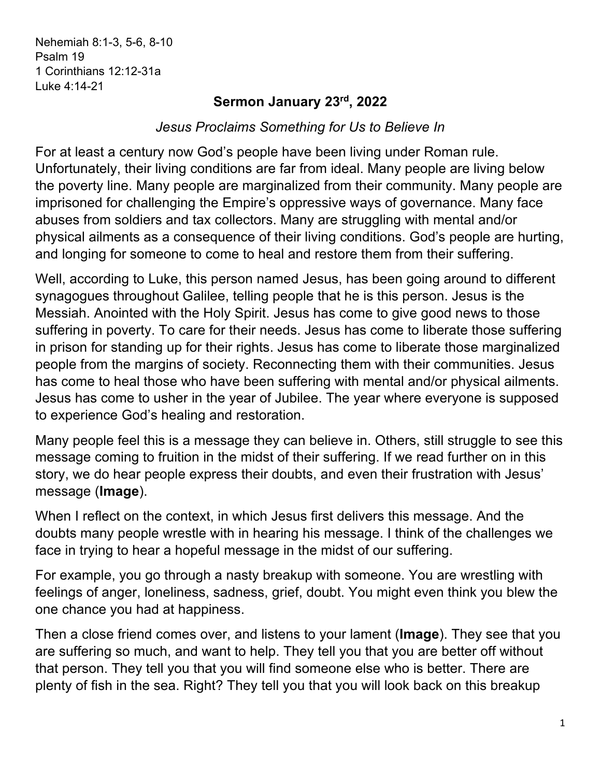Nehemiah 8:1-3, 5-6, 8-10 Psalm 19 1 Corinthians 12:12-31a Luke 4:14-21

## **Sermon January 23rd, 2022**

*Jesus Proclaims Something for Us to Believe In*

For at least a century now God's people have been living under Roman rule. Unfortunately, their living conditions are far from ideal. Many people are living below the poverty line. Many people are marginalized from their community. Many people are imprisoned for challenging the Empire's oppressive ways of governance. Many face abuses from soldiers and tax collectors. Many are struggling with mental and/or physical ailments as a consequence of their living conditions. God's people are hurting, and longing for someone to come to heal and restore them from their suffering.

Well, according to Luke, this person named Jesus, has been going around to different synagogues throughout Galilee, telling people that he is this person. Jesus is the Messiah. Anointed with the Holy Spirit. Jesus has come to give good news to those suffering in poverty. To care for their needs. Jesus has come to liberate those suffering in prison for standing up for their rights. Jesus has come to liberate those marginalized people from the margins of society. Reconnecting them with their communities. Jesus has come to heal those who have been suffering with mental and/or physical ailments. Jesus has come to usher in the year of Jubilee. The year where everyone is supposed to experience God's healing and restoration.

Many people feel this is a message they can believe in. Others, still struggle to see this message coming to fruition in the midst of their suffering. If we read further on in this story, we do hear people express their doubts, and even their frustration with Jesus' message (**Image**).

When I reflect on the context, in which Jesus first delivers this message. And the doubts many people wrestle with in hearing his message. I think of the challenges we face in trying to hear a hopeful message in the midst of our suffering.

For example, you go through a nasty breakup with someone. You are wrestling with feelings of anger, loneliness, sadness, grief, doubt. You might even think you blew the one chance you had at happiness.

Then a close friend comes over, and listens to your lament (**Image**). They see that you are suffering so much, and want to help. They tell you that you are better off without that person. They tell you that you will find someone else who is better. There are plenty of fish in the sea. Right? They tell you that you will look back on this breakup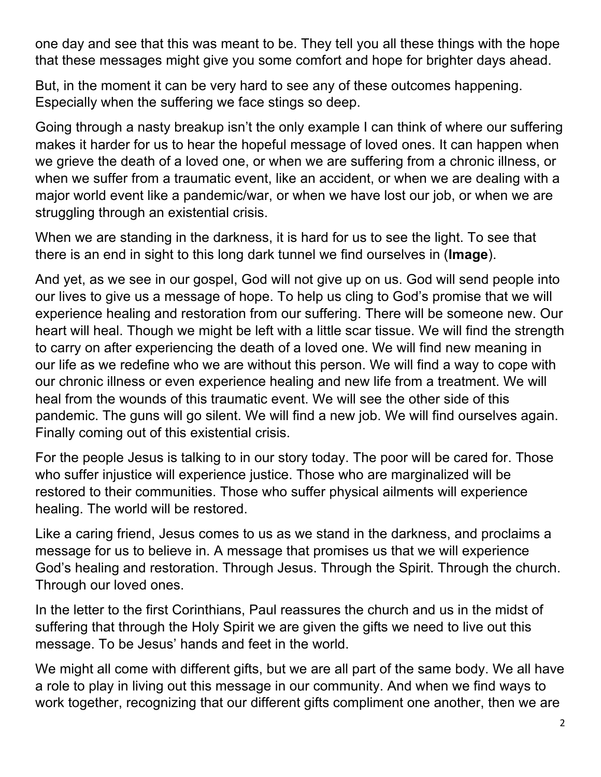one day and see that this was meant to be. They tell you all these things with the hope that these messages might give you some comfort and hope for brighter days ahead.

But, in the moment it can be very hard to see any of these outcomes happening. Especially when the suffering we face stings so deep.

Going through a nasty breakup isn't the only example I can think of where our suffering makes it harder for us to hear the hopeful message of loved ones. It can happen when we grieve the death of a loved one, or when we are suffering from a chronic illness, or when we suffer from a traumatic event, like an accident, or when we are dealing with a major world event like a pandemic/war, or when we have lost our job, or when we are struggling through an existential crisis.

When we are standing in the darkness, it is hard for us to see the light. To see that there is an end in sight to this long dark tunnel we find ourselves in (**Image**).

And yet, as we see in our gospel, God will not give up on us. God will send people into our lives to give us a message of hope. To help us cling to God's promise that we will experience healing and restoration from our suffering. There will be someone new. Our heart will heal. Though we might be left with a little scar tissue. We will find the strength to carry on after experiencing the death of a loved one. We will find new meaning in our life as we redefine who we are without this person. We will find a way to cope with our chronic illness or even experience healing and new life from a treatment. We will heal from the wounds of this traumatic event. We will see the other side of this pandemic. The guns will go silent. We will find a new job. We will find ourselves again. Finally coming out of this existential crisis.

For the people Jesus is talking to in our story today. The poor will be cared for. Those who suffer injustice will experience justice. Those who are marginalized will be restored to their communities. Those who suffer physical ailments will experience healing. The world will be restored.

Like a caring friend, Jesus comes to us as we stand in the darkness, and proclaims a message for us to believe in. A message that promises us that we will experience God's healing and restoration. Through Jesus. Through the Spirit. Through the church. Through our loved ones.

In the letter to the first Corinthians, Paul reassures the church and us in the midst of suffering that through the Holy Spirit we are given the gifts we need to live out this message. To be Jesus' hands and feet in the world.

We might all come with different gifts, but we are all part of the same body. We all have a role to play in living out this message in our community. And when we find ways to work together, recognizing that our different gifts compliment one another, then we are